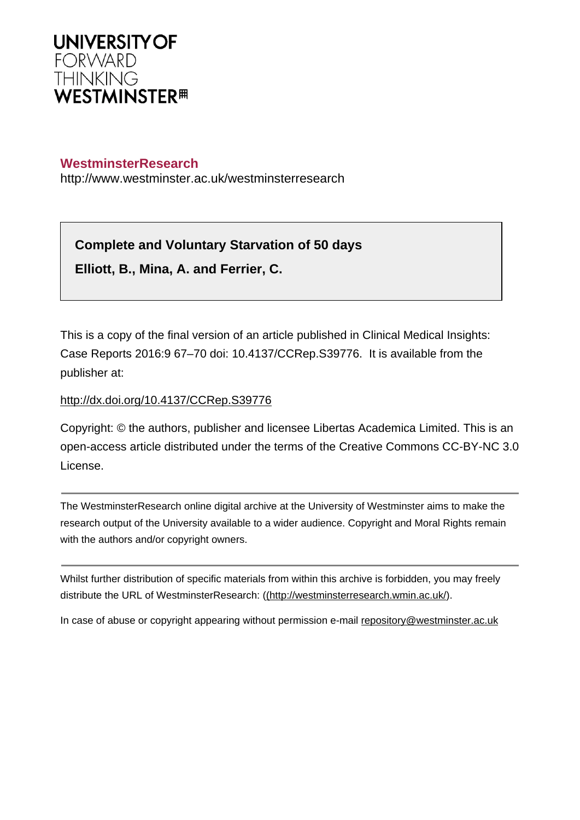

# **WestminsterResearch**

http://www.westminster.ac.uk/westminsterresearch

# **Complete and Voluntary Starvation of 50 days**

**Elliott, B., Mina, A. and Ferrier, C.**

This is a copy of the final version of an article published in Clinical Medical Insights: Case Reports 2016:9 67–70 doi: 10.4137/CCRep.S39776. It is available from the publisher at:

## <http://dx.doi.org/10.4137/CCRep.S39776>

Copyright: © the authors, publisher and licensee Libertas Academica Limited. This is an open-access article distributed under the terms of the Creative Commons CC-BY-NC 3.0 License.

The WestminsterResearch online digital archive at the University of Westminster aims to make the research output of the University available to a wider audience. Copyright and Moral Rights remain with the authors and/or copyright owners.

Whilst further distribution of specific materials from within this archive is forbidden, you may freely distribute the URL of WestminsterResearch: [\(\(http://westminsterresearch.wmin.ac.uk/](http://westminsterresearch.wmin.ac.uk/)).

In case of abuse or copyright appearing without permission e-mail <repository@westminster.ac.uk>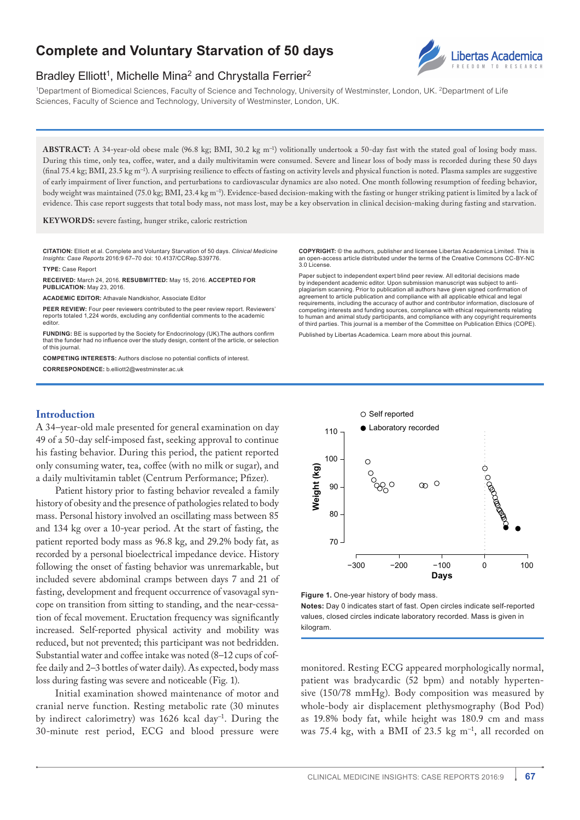# **Complete and Voluntary Starvation of 50 days**



# Bradley Elliott<sup>1</sup>, Michelle Mina<sup>2</sup> and Chrystalla Ferrier<sup>2</sup>

1Department of Biomedical Sciences, Faculty of Science and Technology, University of Westminster, London, UK. 2Department of Life Sciences, Faculty of Science and Technology, University of Westminster, London, UK.

**ABSTRACT:** A 34-year-old obese male (96.8 kg; BMI, 30.2 kg m<sup>−1</sup>) volitionally undertook a 50-day fast with the stated goal of losing body mass. During this time, only tea, coffee, water, and a daily multivitamin were consumed. Severe and linear loss of body mass is recorded during these 50 days (final 75.4 kg; BMI, 23.5 kg m<sup>−</sup><sup>1</sup> ). A surprising resilience to effects of fasting on activity levels and physical function is noted. Plasma samples are suggestive of early impairment of liver function, and perturbations to cardiovascular dynamics are also noted. One month following resumption of feeding behavior, body weight was maintained (75.0 kg; BMI, 23.4 kg m<sup>−</sup><sup>1</sup> ). Evidence-based decision-making with the fasting or hunger striking patient is limited by a lack of evidence. This case report suggests that total body mass, not mass lost, may be a key observation in clinical decision-making during fasting and starvation.

**KEYWORDS:** severe fasting, hunger strike, caloric restriction

**Citation:** Elliott et al. Complete and Voluntary Starvation of 50 days. *Clinical Medicine Insights: Case Reports* 2016:9 67–70 doi: [10.4137/CCRep.S39776](http://dx.doi.org/10.4137/CCRep.S39776).

**TYPE:** Case Report

**Received:** March 24, 2016. **ReSubmitted:** May 15, 2016. **Accepted for publication:** May 23, 2016.

**ACADEMIC EDITOR:** Athavale Nandkishor, Associate Editor

PEER REVIEW: Four peer reviewers contributed to the peer review report. Reviewers reports totaled 1,224 words, excluding any confidential comments to the academic editor.

**Funding:** BE is supported by the Society for Endocrinology (UK).The authors confirm that the funder had no influence over the study design, content of the article, or selection of this journal.

**COMPETING INTERESTS:** Authors disclose no potential conflicts of interest. **Correspondence:** [b.elliott2@westminster.ac.uk](mailto:b.elliott2@westminster.ac.uk)

**Copyright:** © the authors, publisher and licensee Libertas Academica Limited. This is an open-access article distributed under the terms of the Creative Commons CC-BY-NC 3.0 License.

Paper subject to independent expert blind peer review. All editorial decisions made by independent academic editor. Upon submission manuscript was subject to antiplagiarism scanning. Prior to publication all authors have given signed confirmation of agreement to article publication and compliance with all applicable ethical and legal requirements, including the accuracy of author and contributor information, disclosure of competing interests and funding sources, compliance with ethical requirements relating to human and animal study participants, and compliance with any copyright requirements of third parties. This journal is a member of the Committee on Publication Ethics (COPE).

Published by [Libertas Academica.](http://www.la-press.com) Learn more about [this journal.](http://www.la-press.com/clinical-medicine-insights-case-reports-journal-j91)

## **Introduction**

A 34–year-old male presented for general examination on day 49 of a 50-day self-imposed fast, seeking approval to continue his fasting behavior. During this period, the patient reported only consuming water, tea, coffee (with no milk or sugar), and a daily multivitamin tablet (Centrum Performance; Pfizer).

Patient history prior to fasting behavior revealed a family history of obesity and the presence of pathologies related to body mass. Personal history involved an oscillating mass between 85 and 134 kg over a 10-year period. At the start of fasting, the patient reported body mass as 96.8 kg, and 29.2% body fat, as recorded by a personal bioelectrical impedance device. History following the onset of fasting behavior was unremarkable, but included severe abdominal cramps between days 7 and 21 of fasting, development and frequent occurrence of vasovagal syncope on transition from sitting to standing, and the near-cessation of fecal movement. Eructation frequency was significantly increased. Self-reported physical activity and mobility was reduced, but not prevented; this participant was not bedridden. Substantial water and coffee intake was noted (8–12 cups of coffee daily and 2–3 bottles of water daily). As expected, body mass loss during fasting was severe and noticeable (Fig. 1).

Initial examination showed maintenance of motor and cranial nerve function. Resting metabolic rate (30 minutes by indirect calorimetry) was 1626 kcal day<sup>−</sup>1. During the 30-minute rest period, ECG and blood pressure were





**Notes:** Day 0 indicates start of fast. Open circles indicate self-reported values, closed circles indicate laboratory recorded. Mass is given in kilogram.

monitored. Resting ECG appeared morphologically normal, patient was bradycardic (52 bpm) and notably hypertensive (150/78 mmHg). Body composition was measured by whole-body air displacement plethysmography (Bod Pod) as 19.8% body fat, while height was 180.9 cm and mass was 75.4 kg, with a BMI of 23.5 kg m<sup>−</sup>1, all recorded on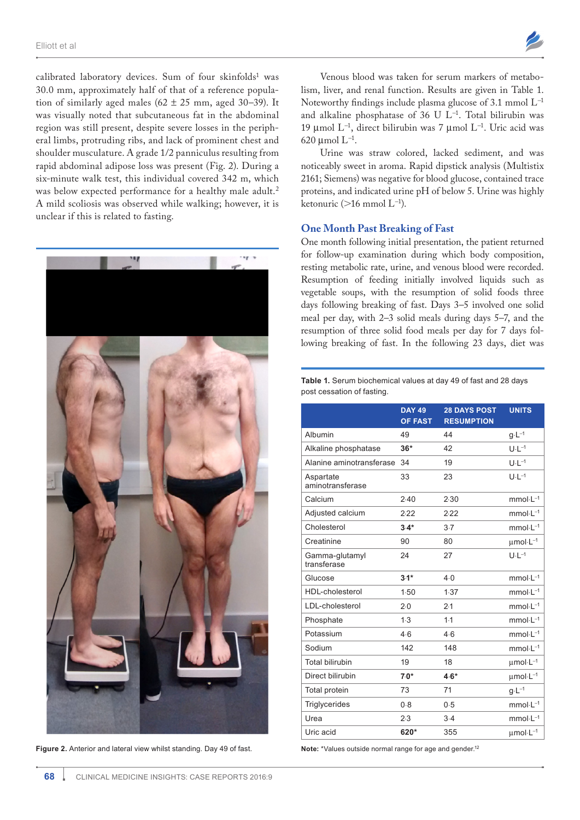

calibrated laboratory devices. Sum of four skinfolds<sup>1</sup> was 30.0 mm, approximately half of that of a reference population of similarly aged males ( $62 \pm 25$  mm, aged 30–39). It was visually noted that subcutaneous fat in the abdominal region was still present, despite severe losses in the peripheral limbs, protruding ribs, and lack of prominent chest and shoulder musculature. A grade 1/2 panniculus resulting from rapid abdominal adipose loss was present (Fig. 2). During a six-minute walk test, this individual covered 342 m, which was below expected performance for a healthy male adult.<sup>2</sup> A mild scoliosis was observed while walking; however, it is unclear if this is related to fasting.



**Figure 2.** Anterior and lateral view whilst standing. Day 49 of fast.

Venous blood was taken for serum markers of metabolism, liver, and renal function. Results are given in Table 1. Noteworthy findings include plasma glucose of 3.1 mmol L<sup>−</sup><sup>1</sup> and alkaline phosphatase of 36 U L<sup>−</sup><sup>1</sup> . Total bilirubin was 19 µmol L<sup>−</sup><sup>1</sup> , direct bilirubin was 7 µmol L<sup>−</sup><sup>1</sup> . Uric acid was 620 µmol L<sup>−</sup><sup>1</sup> .

Urine was straw colored, lacked sediment, and was noticeably sweet in aroma. Rapid dipstick analysis (Multistix 2161; Siemens) was negative for blood glucose, contained trace proteins, and indicated urine pH of below 5. Urine was highly ketonuric (>16 mmol  $L^{-1}$ ).

#### **One Month Past Breaking of Fast**

One month following initial presentation, the patient returned for follow-up examination during which body composition, resting metabolic rate, urine, and venous blood were recorded. Resumption of feeding initially involved liquids such as vegetable soups, with the resumption of solid foods three days following breaking of fast. Days 3–5 involved one solid meal per day, with 2–3 solid meals during days 5–7, and the resumption of three solid food meals per day for 7 days following breaking of fast. In the following 23 days, diet was

#### **Table 1.** Serum biochemical values at day 49 of fast and 28 days post cessation of fasting.

|                               | <b>DAY 49</b><br><b>OF FAST</b> | <b>28 DAYS POST</b><br><b>RESUMPTION</b> | <b>UNITS</b>                      |
|-------------------------------|---------------------------------|------------------------------------------|-----------------------------------|
| Albumin                       | 49                              | 44                                       | $g \cdot L^{-1}$                  |
| Alkaline phosphatase          | $36*$                           | 42                                       | $U \cdot L^{-1}$                  |
| Alanine aminotransferase      | 34                              | 19                                       | $U \cdot L^{-1}$                  |
| Aspartate<br>aminotransferase | 33                              | 23                                       | $U·L-1$                           |
| Calcium                       | 2.40                            | 2.30                                     | $mmol·L-1$                        |
| Adjusted calcium              | 2.22                            | 2.22                                     | $mmol·L-1$                        |
| Cholesterol                   | $3.4*$                          | $3-7$                                    | $mmol·L-1$                        |
| Creatinine                    | 90                              | 80                                       | $\mu$ mol·L <sup>-1</sup>         |
| Gamma-glutamyl<br>transferase | 24                              | 27                                       | $U \cdot L^{-1}$                  |
| Glucose                       | $3.1*$                          | 4.0                                      | $mmol·L^{-1}$                     |
| <b>HDL-cholesterol</b>        | 1.50                            | 1.37                                     | $mmol·L-1$                        |
| LDL-cholesterol               | 2.0                             | 2.1                                      | $mmol·L^{-1}$                     |
| Phosphate                     | 1.3                             | 1.1                                      | $mmol·L-1$                        |
| Potassium                     | 4.6                             | 4.6                                      | $mmol·L^{-1}$                     |
| Sodium                        | 142                             | 148                                      | $mmol·L-1$                        |
| <b>Total bilirubin</b>        | 19                              | 18                                       | $umol·L-1$                        |
| Direct bilirubin              | $7.0*$                          | $4.6*$                                   | $\mu$ mol·L <sup>-1</sup>         |
| Total protein                 | 73                              | 71                                       | $g \cdot L^{-1}$                  |
| Triglycerides                 | 0.8                             | 0.5                                      | $mmol·L-1$                        |
| Urea                          | 2.3                             | 3.4                                      | $mmol·L^{-1}$                     |
| Uric acid                     | 620*                            | 355                                      | $\mu$ mol $\cdot$ L <sup>-1</sup> |

**Note:** \*Values outside normal range for age and gender.<sup>12</sup>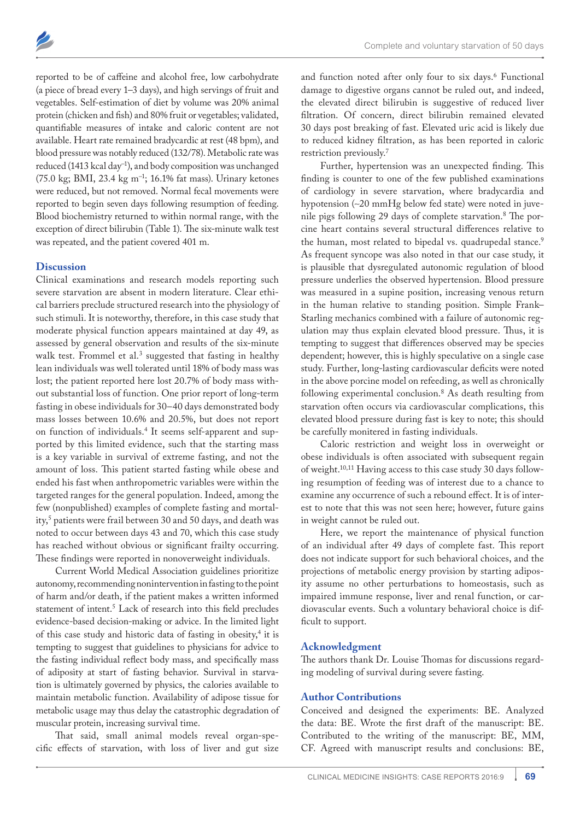

reported to be of caffeine and alcohol free, low carbohydrate (a piece of bread every 1–3 days), and high servings of fruit and vegetables. Self-estimation of diet by volume was 20% animal protein (chicken and fish) and 80% fruit or vegetables; validated, quantifiable measures of intake and caloric content are not available. Heart rate remained bradycardic at rest (48 bpm), and blood pressure was notably reduced (132/78). Metabolic rate was reduced (1413 kcal day<sup>−</sup><sup>1</sup> ), and body composition was unchanged (75.0 kg; BMI, 23.4 kg m<sup>−</sup><sup>1</sup> ; 16.1% fat mass). Urinary ketones were reduced, but not removed. Normal fecal movements were reported to begin seven days following resumption of feeding. Blood biochemistry returned to within normal range, with the exception of direct bilirubin (Table 1). The six-minute walk test was repeated, and the patient covered 401 m.

### **Discussion**

Clinical examinations and research models reporting such severe starvation are absent in modern literature. Clear ethical barriers preclude structured research into the physiology of such stimuli. It is noteworthy, therefore, in this case study that moderate physical function appears maintained at day 49, as assessed by general observation and results of the six-minute walk test. Frommel et al.<sup>3</sup> suggested that fasting in healthy lean individuals was well tolerated until 18% of body mass was lost; the patient reported here lost 20.7% of body mass without substantial loss of function. One prior report of long-term fasting in obese individuals for 30–40 days demonstrated body mass losses between 10.6% and 20.5%, but does not report on function of individuals.4 It seems self-apparent and supported by this limited evidence, such that the starting mass is a key variable in survival of extreme fasting, and not the amount of loss. This patient started fasting while obese and ended his fast when anthropometric variables were within the targeted ranges for the general population. Indeed, among the few (nonpublished) examples of complete fasting and mortality,<sup>5</sup> patients were frail between 30 and 50 days, and death was noted to occur between days 43 and 70, which this case study has reached without obvious or significant frailty occurring. These findings were reported in nonoverweight individuals.

Current World Medical Association guidelines prioritize autonomy, recommending nonintervention in fasting to the point of harm and/or death, if the patient makes a written informed statement of intent.<sup>5</sup> Lack of research into this field precludes evidence-based decision-making or advice. In the limited light of this case study and historic data of fasting in obesity,<sup>4</sup> it is tempting to suggest that guidelines to physicians for advice to the fasting individual reflect body mass, and specifically mass of adiposity at start of fasting behavior. Survival in starvation is ultimately governed by physics, the calories available to maintain metabolic function. Availability of adipose tissue for metabolic usage may thus delay the catastrophic degradation of muscular protein, increasing survival time.

That said, small animal models reveal organ-specific effects of starvation, with loss of liver and gut size and function noted after only four to six days.<sup>6</sup> Functional damage to digestive organs cannot be ruled out, and indeed, the elevated direct bilirubin is suggestive of reduced liver filtration. Of concern, direct bilirubin remained elevated 30 days post breaking of fast. Elevated uric acid is likely due to reduced kidney filtration, as has been reported in caloric restriction previously.7

Further, hypertension was an unexpected finding. This finding is counter to one of the few published examinations of cardiology in severe starvation, where bradycardia and hypotension (∼20 mmHg below fed state) were noted in juvenile pigs following 29 days of complete starvation.<sup>8</sup> The porcine heart contains several structural differences relative to the human, most related to bipedal vs. quadrupedal stance.<sup>9</sup> As frequent syncope was also noted in that our case study, it is plausible that dysregulated autonomic regulation of blood pressure underlies the observed hypertension. Blood pressure was measured in a supine position, increasing venous return in the human relative to standing position. Simple Frank– Starling mechanics combined with a failure of autonomic regulation may thus explain elevated blood pressure. Thus, it is tempting to suggest that differences observed may be species dependent; however, this is highly speculative on a single case study. Further, long-lasting cardiovascular deficits were noted in the above porcine model on refeeding, as well as chronically following experimental conclusion.<sup>8</sup> As death resulting from starvation often occurs via cardiovascular complications, this elevated blood pressure during fast is key to note; this should be carefully monitered in fasting individuals.

Caloric restriction and weight loss in overweight or obese individuals is often associated with subsequent regain of weight.10,11 Having access to this case study 30 days following resumption of feeding was of interest due to a chance to examine any occurrence of such a rebound effect. It is of interest to note that this was not seen here; however, future gains in weight cannot be ruled out.

Here, we report the maintenance of physical function of an individual after 49 days of complete fast. This report does not indicate support for such behavioral choices, and the projections of metabolic energy provision by starting adiposity assume no other perturbations to homeostasis, such as impaired immune response, liver and renal function, or cardiovascular events. Such a voluntary behavioral choice is difficult to support.

#### **Acknowledgment**

The authors thank Dr. Louise Thomas for discussions regarding modeling of survival during severe fasting.

## **Author Contributions**

Conceived and designed the experiments: BE. Analyzed the data: BE. Wrote the first draft of the manuscript: BE. Contributed to the writing of the manuscript: BE, MM, CF. Agreed with manuscript results and conclusions: BE,